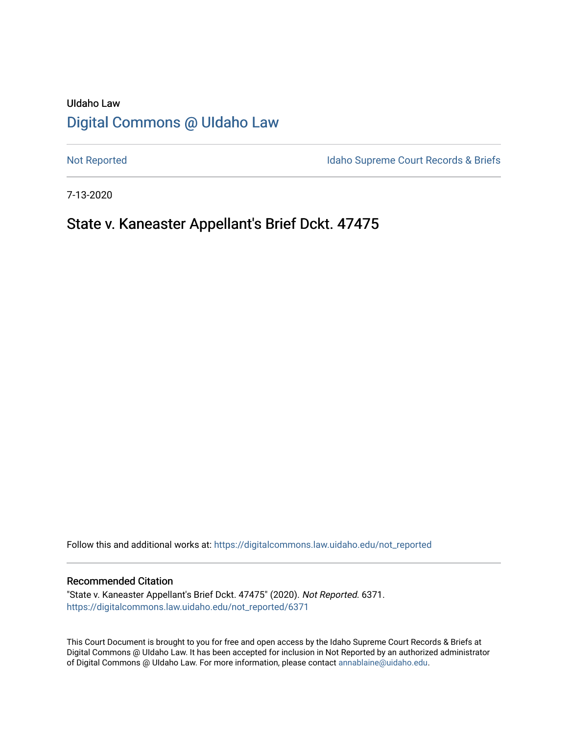# UIdaho Law [Digital Commons @ UIdaho Law](https://digitalcommons.law.uidaho.edu/)

[Not Reported](https://digitalcommons.law.uidaho.edu/not_reported) **Idaho Supreme Court Records & Briefs** 

7-13-2020

# State v. Kaneaster Appellant's Brief Dckt. 47475

Follow this and additional works at: [https://digitalcommons.law.uidaho.edu/not\\_reported](https://digitalcommons.law.uidaho.edu/not_reported?utm_source=digitalcommons.law.uidaho.edu%2Fnot_reported%2F6371&utm_medium=PDF&utm_campaign=PDFCoverPages) 

#### Recommended Citation

"State v. Kaneaster Appellant's Brief Dckt. 47475" (2020). Not Reported. 6371. [https://digitalcommons.law.uidaho.edu/not\\_reported/6371](https://digitalcommons.law.uidaho.edu/not_reported/6371?utm_source=digitalcommons.law.uidaho.edu%2Fnot_reported%2F6371&utm_medium=PDF&utm_campaign=PDFCoverPages)

This Court Document is brought to you for free and open access by the Idaho Supreme Court Records & Briefs at Digital Commons @ UIdaho Law. It has been accepted for inclusion in Not Reported by an authorized administrator of Digital Commons @ UIdaho Law. For more information, please contact [annablaine@uidaho.edu](mailto:annablaine@uidaho.edu).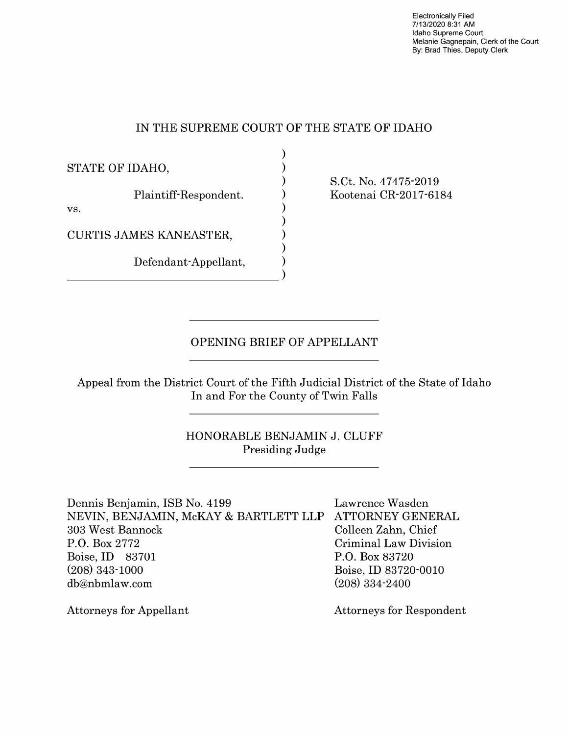Electronically Filed 7/13/2020 8:31 **AM**  Idaho Supreme Court Melanie Gagnepain, Clerk of the Court By: Brad Thies, Deputy Clerk

## IN THE SUPREME COURT OF THE STATE OF IDAHO

| STATE OF IDAHO,              |  |
|------------------------------|--|
| Plaintiff-Respondent.<br>VS. |  |
| CURTIS JAMES KANEASTER,      |  |
| Defendant-Appellant,         |  |
|                              |  |

S.Ct. No. 47475-2019 Kootenai CR-2017-6184

## OPENING BRIEF OF APPELLANT

Appeal from the District Court of the Fifth Judicial District of the State of Idaho In and For the County of Twin Falls

## HONORABLE BENJAMIN J. CLUFF Presiding Judge

Dennis Benjamin, ISB No. 4199 Lawrence Wasden NEVIN, BENJAMIN, McKAY & BARTLETT LLP ATTORNEY GENERAL 303 West Bannock Colleen Zahn, Chief P.O. Box 2772 Criminal Law Division Boise, ID 83701 P.O. Box 83720 (208) 343-1000 Boise, ID 83720-0010 db@nbmlaw.com (208) 334-2400

Attorneys for Appellant Attorneys for Respondent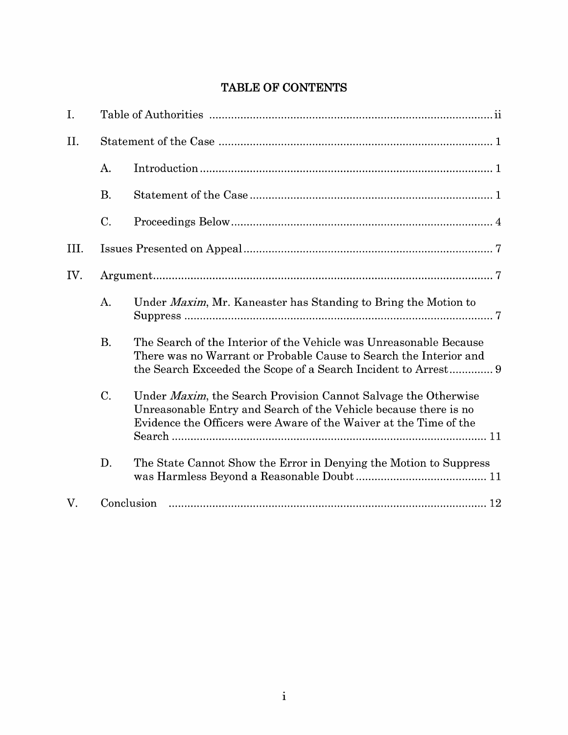## **TABLE OF CONTENTS**

| I.   |           |                                                                                                                                                                                                                 |
|------|-----------|-----------------------------------------------------------------------------------------------------------------------------------------------------------------------------------------------------------------|
| II.  |           |                                                                                                                                                                                                                 |
|      | A.        |                                                                                                                                                                                                                 |
|      | <b>B.</b> |                                                                                                                                                                                                                 |
|      | $C$ .     |                                                                                                                                                                                                                 |
| III. |           |                                                                                                                                                                                                                 |
| IV.  |           |                                                                                                                                                                                                                 |
|      | A.        | Under <i>Maxim</i> , Mr. Kaneaster has Standing to Bring the Motion to                                                                                                                                          |
|      | <b>B.</b> | The Search of the Interior of the Vehicle was Unreasonable Because<br>There was no Warrant or Probable Cause to Search the Interior and<br>the Search Exceeded the Scope of a Search Incident to Arrest 9       |
|      | C.        | Under <i>Maxim</i> , the Search Provision Cannot Salvage the Otherwise<br>Unreasonable Entry and Search of the Vehicle because there is no<br>Evidence the Officers were Aware of the Waiver at the Time of the |
|      | D.        | The State Cannot Show the Error in Denying the Motion to Suppress                                                                                                                                               |
| V.   |           | Conclusion                                                                                                                                                                                                      |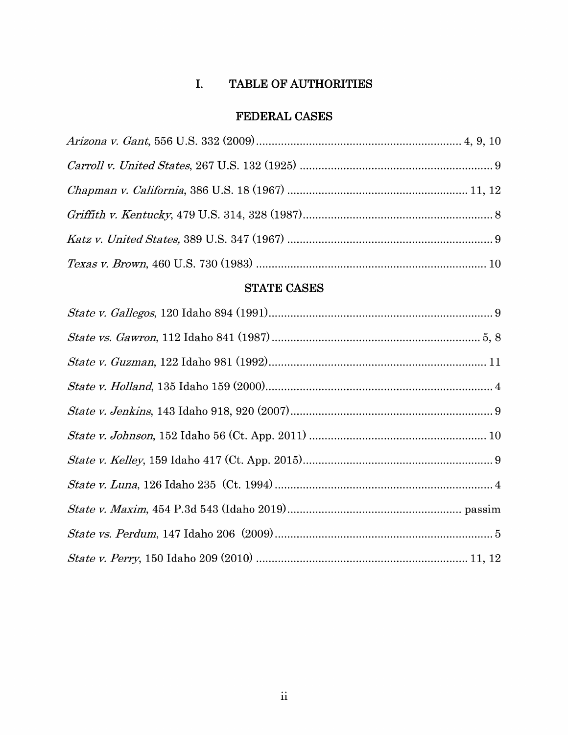## **I. TABLE OF AUTHORITIES**

## **FEDERAL CASES**

## **STATE CASES**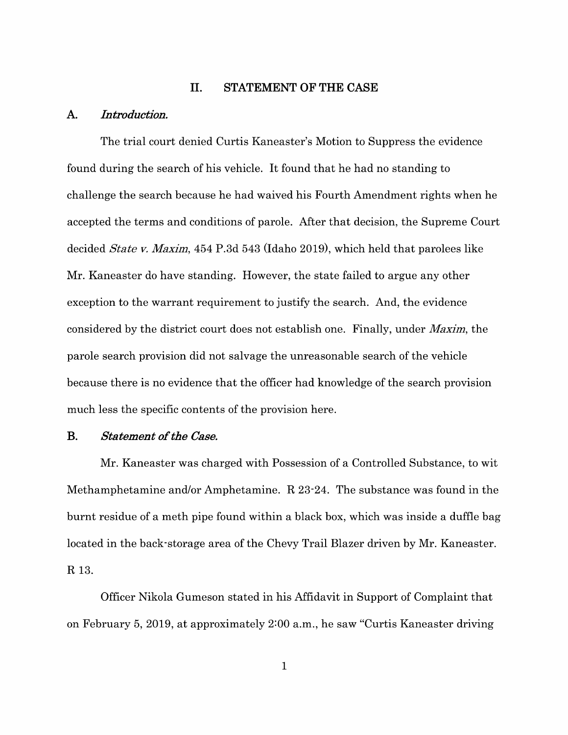#### **II. STATEMENT OF THE CASE**

#### **A.** *Introduction.*

The trial court denied Curtis Kaneaster's Motion to Suppress the evidence found during the search of his vehicle. It found that he had no standing to challenge the search because he had waived his Fourth Amendment rights when he accepted the terms and conditions of parole. After that decision, the Supreme Court decided *State v. Maxim,* 454 P.3d 543 (Idaho 2019), which held that parolees like Mr. Kaneaster do have standing. However, the state failed to argue any other exception to the warrant requirement to justify the search. And, the evidence considered by the district court does not establish one. Finally, under *Maxim,* the parole search provision did not salvage the unreasonable search of the vehicle because there is no evidence that the officer had knowledge of the search provision much less the specific contents of the provision here.

#### **B.** *Statement of the Case.*

Mr. Kaneaster was charged with Possession of a Controlled Substance, to wit Methamphetamine and/or Amphetamine. R 23-24. The substance was found in the burnt residue of a meth pipe found within a black box, which was inside a duffle bag located in the back-storage area of the Chevy Trail Blazer driven by Mr. Kaneaster. **R** 13.

Officer Nikola Gumeson stated in his Affidavit in Support of Complaint that on February 5, 2019, at approximately 2:00 a.m., he saw "Curtis Kaneaster driving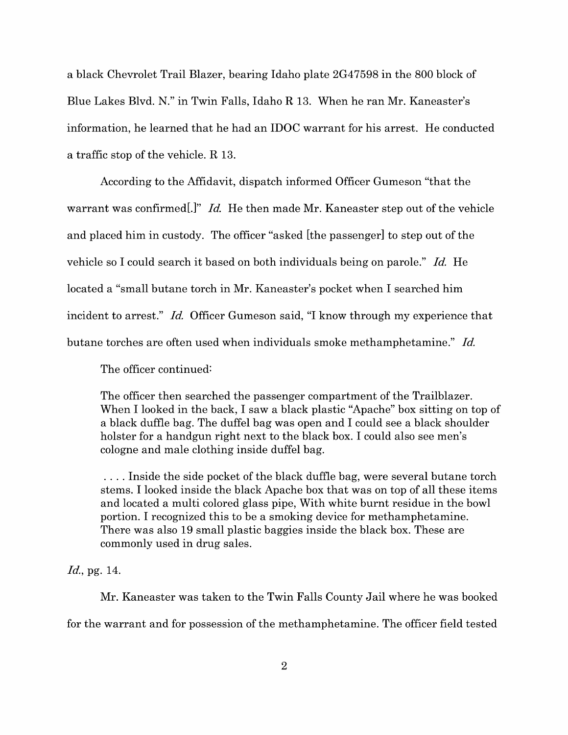a black Chevrolet Trail Blazer, bearing Idaho plate 2G4 7598 in the 800 block of Blue Lakes Blvd. N." in Twin Falls, Idaho R 13. When he ran Mr. Kaneaster's information, he learned that he had an IDOC warrant for his arrest. He conducted a traffic stop of the vehicle. R 13.

According to the Affidavit, dispatch informed Officer Gumeson "that the warrant was confirmed<sup>[*.*]" *Id.* He then made Mr. Kaneaster step out of the vehicle</sup> and placed him in custody. The officer "asked [the passenger] to step out of the vehicle so I could search it based on both individuals being on parole." *Id.* He located a "small butane torch in Mr. Kaneaster's pocket when I searched him incident to arrest." *Id.* Officer Gumeson said, "I know through my experience that butane torches are often used when individuals smoke methamphetamine." *Id.* 

The officer continued:

The officer then searched the passenger compartment of the Trailblazer. When I looked in the back, I saw a black plastic "Apache" box sitting on top of a black duffle bag. The duffel bag was open and I could see a black shoulder holster for a handgun right next to the black box. I could also see men's cologne and male clothing inside duffel bag.

. . . . Inside the side pocket of the black duffle bag, were several butane torch stems. I looked inside the black Apache box that was on top of all these items and located a multi colored glass pipe, With white burnt residue in the bowl portion. I recognized this to be a smoking device for methamphetamine. There was also 19 small plastic baggies inside the black box. These are commonly used in drug sales.

#### *Id.,* pg. 14.

Mr. Kaneaster was taken to the Twin Falls County Jail where he was booked for the warrant and for possession of the methamphetamine. The officer field tested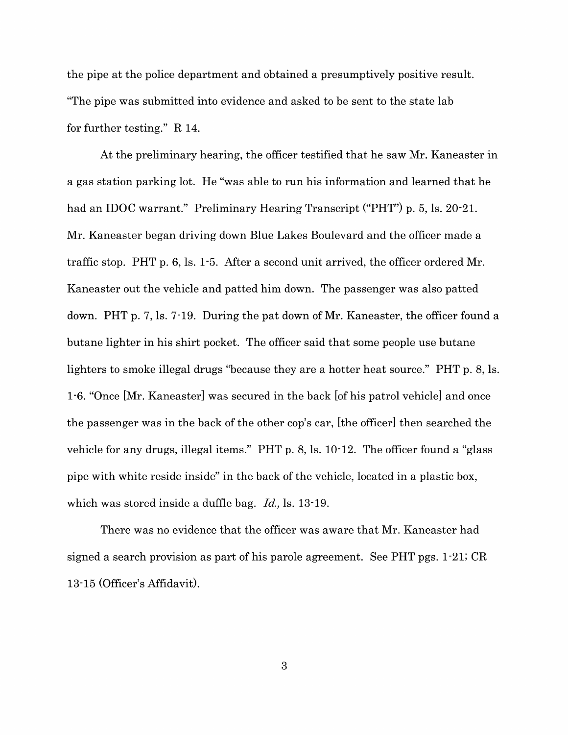the pipe at the police department and obtained a presumptively positive result. "The pipe was submitted into evidence and asked to be sent to the state lab for further testing." R 14.

At the preliminary hearing, the officer testified that he saw Mr. Kaneaster in a gas station parking lot. He "was able to run his information and learned that he had an IDOC warrant." Preliminary Hearing Transcript ("PHT") p. 5, ls. 20-21. Mr. Kaneaster began driving down Blue Lakes Boulevard and the officer made a traffic stop. PHT p. 6, ls. 1-5. After a second unit arrived, the officer ordered Mr. Kaneaster out the vehicle and patted him down. The passenger was also patted down. PHT p. 7, ls. 7-19. During the pat down of Mr. Kaneaster, the officer found a butane lighter in his shirt pocket. The officer said that some people use butane lighters to smoke illegal drugs "because they are a hotter heat source." PHT p. 8, ls. 1-6. "Once [Mr. Kaneaster] was secured in the back [of his patrol vehicle] and once the passenger was in the back of the other cop's car, [the officer] then searched the vehicle for any drugs, illegal items." PHT p. 8, ls. 10-12. The officer found a "glass pipe with white reside inside" in the back of the vehicle, located in a plastic box, which was stored inside a duffle bag. *Id.,* ls. 13-19.

There was no evidence that the officer was aware that Mr. Kaneaster had signed a search provision as part of his parole agreement. See PHT pgs. 1-21; CR 13-15 (Officer's Affidavit).

3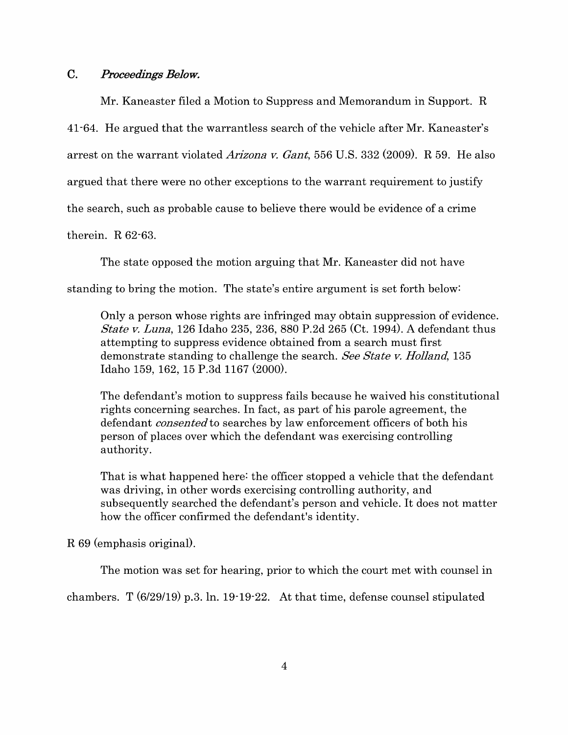### **C.** *Proceedings Below.*

Mr. Kaneaster filed a Motion to Suppress and Memorandum in Support. R 41-64. He argued that the warrantless search of the vehicle after Mr. Kaneaster's arrest on the warrant violated *Arizona v. Gant,* 556 U.S. 332 (2009). R 59. He also argued that there were no other exceptions to the warrant requirement to justify the search, such as probable cause to believe there would be evidence of a crime therein. R 62-63.

The state opposed the motion arguing that Mr. Kaneaster did not have

standing to bring the motion. The state's entire argument is set forth below:

Only a person whose rights are infringed may obtain suppression of evidence. *State v. Luna,* 126 Idaho 235, 236, 880 P.2d 265 (Ct. 1994). A defendant thus attempting to suppress evidence obtained from a search must first demonstrate standing to challenge the search. *See State v. Holland,* 135 Idaho 159, 162, 15 P.3d 1167 (2000).

The defendant's motion to suppress fails because he waived his constitutional rights concerning searches. In fact, as part of his parole agreement, the defendant *consented* to searches by law enforcement officers of both his person of places over which the defendant was exercising controlling authority.

That is what happened here: the officer stopped a vehicle that the defendant was driving, in other words exercising controlling authority, and subsequently searched the defendant's person and vehicle. It does not matter how the officer confirmed the defendant's identity.

R 69 (emphasis original).

The motion was set for hearing, prior to which the court met with counsel in

chambers. T (6/29/19) p.3. In. 19-19-22. At that time, defense counsel stipulated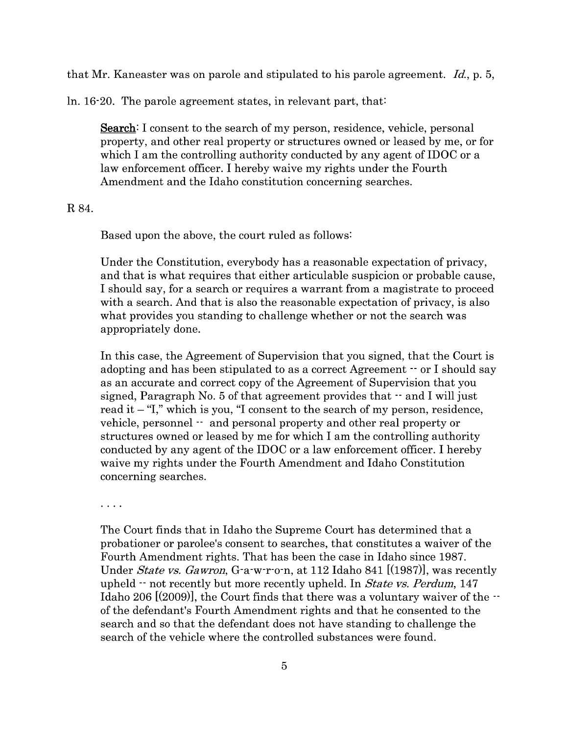that Mr. Kaneaster was on parole and stipulated to his parole agreement. *Id.,* p. 5,

ln. 16-20. The parole agreement states, in relevant part, that:

**Search:** I consent to the search of my person, residence, vehicle, personal property, and other real property or structures owned or leased by me, or for which I am the controlling authority conducted by any agent of **IDOC** or a law enforcement officer. I hereby waive my rights under the Fourth Amendment and the Idaho constitution concerning searches.

#### R84.

Based upon the above, the court ruled as follows:

Under the Constitution, everybody has a reasonable expectation of privacy, and that is what requires that either articulable suspicion or probable cause, I should say, for a search or requires a warrant from a magistrate to proceed with a search. And that is also the reasonable expectation of privacy, is also what provides you standing to challenge whether or not the search was appropriately done.

In this case, the Agreement of Supervision that you signed, that the Court is adopting and has been stipulated to as a correct Agreement -- or I should say as an accurate and correct copy of the Agreement of Supervision that you signed, Paragraph No. 5 of that agreement provides that  $\cdot$  and I will just read it  $-$  "I," which is you, "I consent to the search of my person, residence, vehicle, personnel -- and personal property and other real property or structures owned or leased by me for which I am the controlling authority conducted by any agent of the **IDOC** or a law enforcement officer. I hereby waive my rights under the Fourth Amendment and Idaho Constitution concerning searches.

. . . .

The Court finds that in Idaho the Supreme Court has determined that a probationer or parolee's consent to searches, that constitutes a waiver of the Fourth Amendment rights. That has been the case in Idaho since 1987. Under *State vs. Gawron,* G-a-w-r-o-n, at 112 Idaho 841 [(1987)], was recently upheld -- not recently but more recently upheld. In *State vs. Perdum,* 147 Idaho 206  $(2009)$ , the Court finds that there was a voluntary waiver of the  $$ of the defendant's Fourth Amendment rights and that he consented to the search and so that the defendant does not have standing to challenge the search of the vehicle where the controlled substances were found.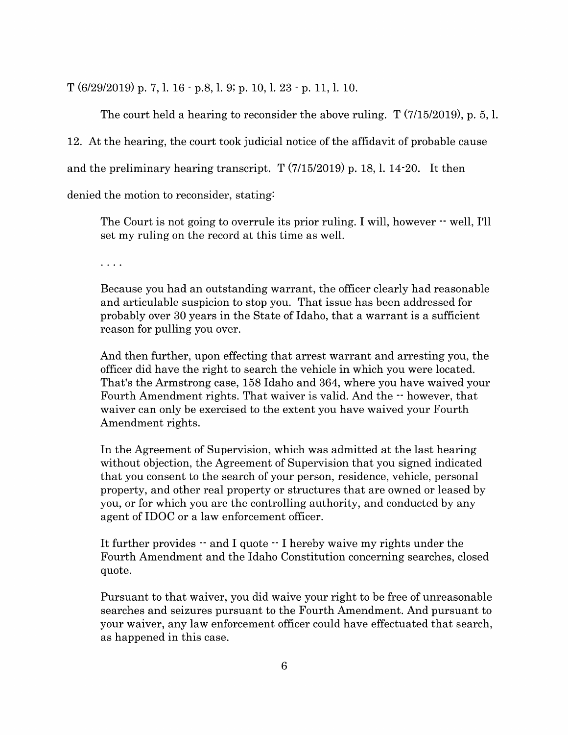T (6/29/2019) p. 7, 1. 16 - p.8, 1. 9; p. 10, 1. 23 - p. 11, 1. 10.

The court held a hearing to reconsider the above ruling. T (7/15/2019), p. 5, 1. 12. At the hearing, the court took judicial notice of the affidavit of probable cause and the preliminary hearing transcript. T (7/15/2019) p. 18, 1. 14-20. It then denied the motion to reconsider, stating:

The Court is not going to overrule its prior ruling. I will, however  $\cdot$  well, I'll set my ruling on the record at this time as well.

 $\cdot$   $\cdot$   $\cdot$ 

Because you had an outstanding warrant, the officer clearly had reasonable and articulable suspicion to stop you. That issue has been addressed for probably over 30 years in the State of Idaho, that a warrant is a sufficient reason for pulling you over.

And then further, upon effecting that arrest warrant and arresting you, the officer did have the right to search the vehicle in which you were located. That's the Armstrong case, 158 Idaho and 364, where you have waived your Fourth Amendment rights. That waiver is valid. And the  $-$  however, that waiver can only be exercised to the extent you have waived your Fourth Amendment rights.

In the Agreement of Supervision, which was admitted at the last hearing without objection, the Agreement of Supervision that you signed indicated that you consent to the search of your person, residence, vehicle, personal property, and other real property or structures that are owned or leased by you, or for which you are the controlling authority, and conducted by any agent of **IDOC** or a law enforcement officer.

It further provides -- and I quote -- I hereby waive my rights under the Fourth Amendment and the Idaho Constitution concerning searches, closed quote.

Pursuant to that waiver, you did waive your right to be free of unreasonable searches and seizures pursuant to the Fourth Amendment. And pursuant to your waiver, any law enforcement officer could have effectuated that search, as happened in this case.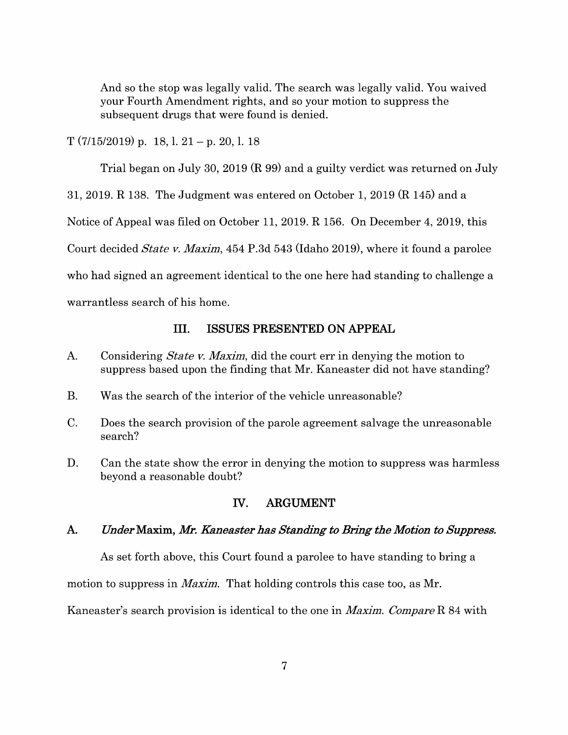And so the stop was legally valid. The search was legally valid. You waived your Fourth Amendment rights, and so your motion to suppress the subsequent drugs that were found is denied.

 $T(7/15/2019)$  p. 18, l. 21 – p. 20, l. 18

Trial began on July 30, 2019 (R 99) and a guilty verdict was returned on July

31, 2019. R 138. The Judgment was entered on October 1, 2019 (R 145) and a

Notice of Appeal was filed on October 11, 2019. R 156. On December 4, 2019, this

Court decided *State v. Maxim,* 454 P.3d 543 (Idaho 2019), where it found a parolee

who had signed an agreement identical to the one here had standing to challenge a

warrantless search of his home.

## III. **ISSUES PRESENTED ON APPEAL**

- A. Considering *State v. Maxim,* did the court err in denying the motion to suppress based upon the finding that Mr. Kaneaster did not have standing?
- B. Was the search of the interior of the vehicle unreasonable?
- C. Does the search provision of the parole agreement salvage the unreasonable search?
- D. Can the state show the error in denying the motion to suppress was harmless beyond a reasonable doubt?

## IV. **ARGUMENT**

## **A.** *Under* **Maxim, Mr.** *Kaneaster has Standing to Bring the Motion to Suppress.*

As set forth above, this Court found a parolee to have standing to bring a

motion to suppress in *Maxim.* That holding controls this case too, as Mr.

Kaneaster's search provision is identical to the one in *Maxim. Compare* R 84 with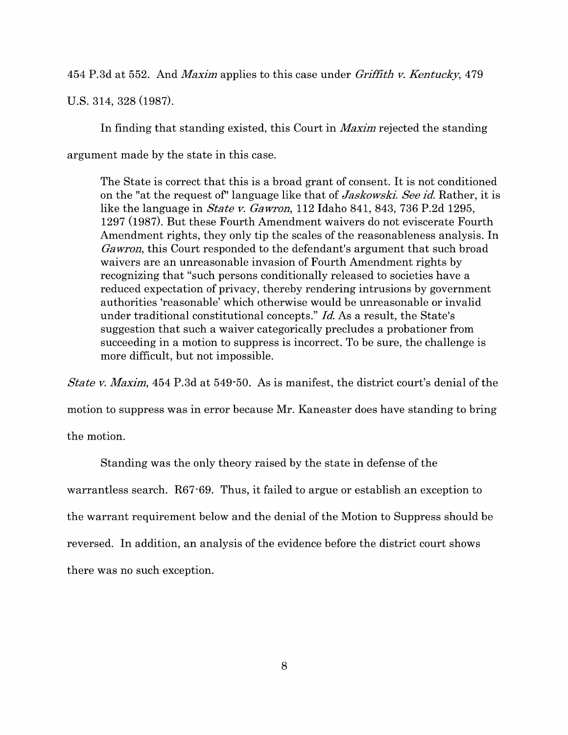454 P.3d at 552. And *Maxim* applies to this case under *Griffith v. Kentucky,* 4 79 U.S. 314, 328 (1987).

In finding that standing existed, this Court in *Maxim* rejected the standing argument made by the state in this case.

The State is correct that this is a broad grant of consent. It is not conditioned on the "at the request of'' language like that of *Jaskowski. See id.* Rather, it is like the language in *State v. Gawron,* 112 Idaho 841, 843, 736 P.2d 1295, 1297 (1987). But these Fourth Amendment waivers do not eviscerate Fourth Amendment rights, they only tip the scales of the reasonableness analysis. In *Gawron,* this Court responded to the defendant's argument that such broad waivers are an unreasonable invasion of Fourth Amendment rights by recognizing that "such persons conditionally released to societies have a reduced expectation of privacy, thereby rendering intrusions by government authorities 'reasonable' which otherwise would be unreasonable or invalid under traditional constitutional concepts." *Id.* As a result, the State's suggestion that such a waiver categorically precludes a probationer from succeeding in a motion to suppress is incorrect. To be sure, the challenge is more difficult, but not impossible.

*State v. Maxim,* 454 P.3d at 549-50. As is manifest, the district court's denial of the motion to suppress was in error because Mr. Kaneaster does have standing to bring the motion.

Standing was the only theory raised by the state in defense of the warrantless search. R67-69. Thus, it failed to argue or establish an exception to the warrant requirement below and the denial of the Motion to Suppress should be reversed. In addition, an analysis of the evidence before the district court shows there was no such exception.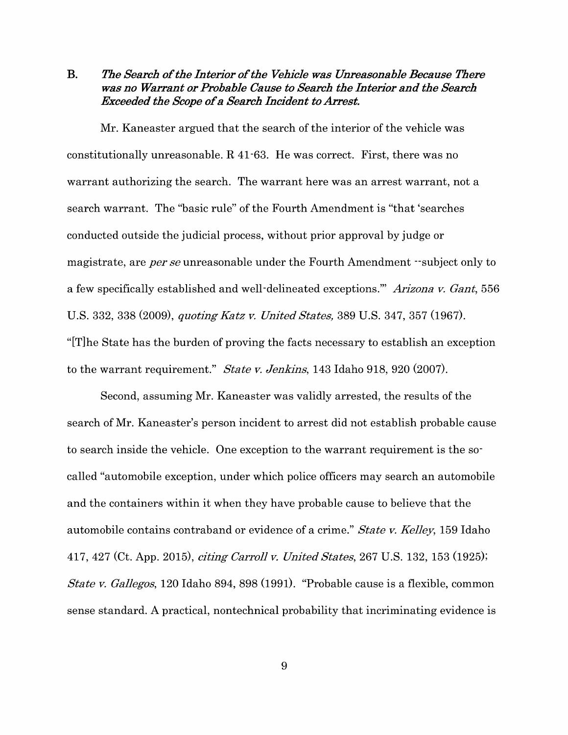**B.** *The Search of the Interior of the Vehicle was Unreasonable Because There was no Warrant or Probable Cause to Search the Interior and the Search Exceeded the Scope of a Search Incident to Arrest.* 

Mr. Kaneaster argued that the search of the interior of the vehicle was constitutionally unreasonable. **R** 41-63. He was correct. First, there was no warrant authorizing the search. The warrant here was an arrest warrant, not a search warrant. The "basic rule" of the Fourth Amendment is "that 'searches conducted outside the judicial process, without prior approval by judge or magistrate, are *per se* unreasonable under the Fourth Amendment --subject only to a few specifically established and well-delineated exceptions."' *Arizona v. Gant,* 556 U.S. 332, 338 (2009), *quoting Katz v. United States,* 389 U.S. 347, 357 (1967). "[T]he State has the burden of proving the facts necessary to establish an exception to the warrant requirement." *State v. Jenkins,* 143 Idaho 918, 920 (2007).

Second, assuming Mr. Kaneaster was validly arrested, the results of the search of Mr. Kaneaster's person incident to arrest did not establish probable cause to search inside the vehicle. One exception to the warrant requirement is the socalled "automobile exception, under which police officers may search an automobile and the containers within it when they have probable cause to believe that the automobile contains contraband or evidence of a crime." *State v. Kelley,* 159 Idaho 417, 427 (Ct. App. 2015), *citing Carroll v. United States,* 267 U.S. 132, 153 (1925); *State v. Gallegos,* 120 Idaho 894, 898 (1991). "Probable cause is a flexible, common sense standard. A practical, nontechnical probability that incriminating evidence is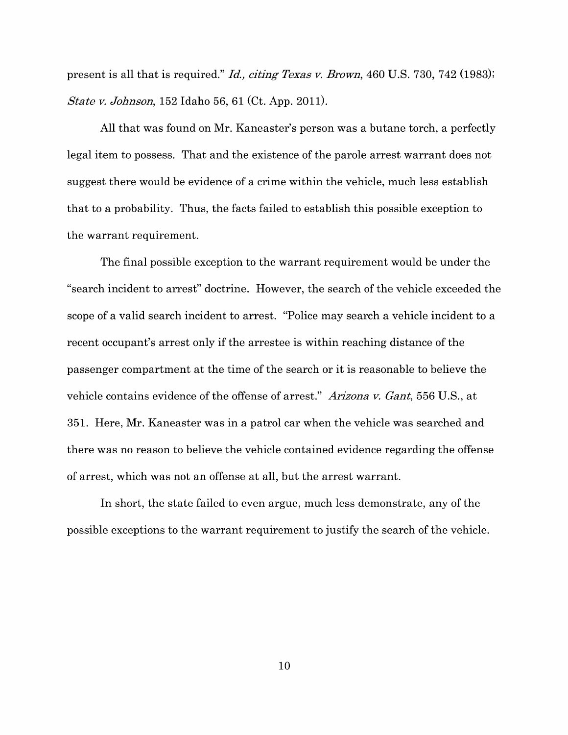present is all that is required." *Id., citing Texas v. Brown,* 460 U.S. 730, 742 (1983); *State v. Johnson,* 152 Idaho 56, 61 (Ct. App. 2011).

All that was found on Mr. Kaneaster's person was a butane torch, a perfectly legal item to possess. That and the existence of the parole arrest warrant does not suggest there would be evidence of a crime within the vehicle, much less establish that to a probability. Thus, the facts failed to establish this possible exception to the warrant requirement.

The final possible exception to the warrant requirement would be under the "search incident to arrest" doctrine. However, the search of the vehicle exceeded the scope of a valid search incident to arrest. "Police may search a vehicle incident to a recent occupant's arrest only if the arrestee is within reaching distance of the passenger compartment at the time of the search or it is reasonable to believe the vehicle contains evidence of the offense of arrest." *Arizona v. Gant,* 556 U.S., at 351. Here, Mr. Kaneaster was in a patrol car when the vehicle was searched and there was no reason to believe the vehicle contained evidence regarding the offense of arrest, which was not an offense at all, but the arrest warrant.

In short, the state failed to even argue, much less demonstrate, any of the possible exceptions to the warrant requirement to justify the search of the vehicle.

10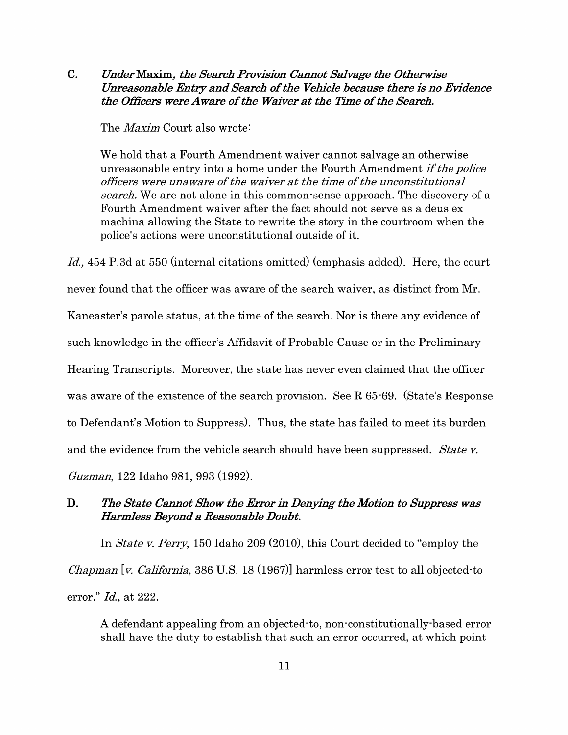**C.** *Under* **Maxim,** *the Search Provision Cannot Salvage the Otherwise Unreasonable Entry and Search of the Vehicle because there is no Evidence the Officers were Aware of the Waiver at the Time of the Search.* 

The *Maxim* Court also wrote:

We hold that a Fourth Amendment waiver cannot salvage an otherwise unreasonable entry into a home under the Fourth Amendment if *the police officers were unaware of the waiver at the time of the unconstitutional search.* We are not alone in this common-sense approach. The discovery of a Fourth Amendment waiver after the fact should not serve as a deus ex machina allowing the State to rewrite the story in the courtroom when the police's actions were unconstitutional outside of it.

Id., 454 P.3d at 550 (internal citations omitted) (emphasis added). Here, the court never found that the officer was aware of the search waiver, as distinct from Mr. Kaneaster's parole status, at the time of the search. Nor is there any evidence of such knowledge in the officer's Affidavit of Probable Cause or in the Preliminary Hearing Transcripts. Moreover, the state has never even claimed that the officer was aware of the existence of the search provision. See R 65-69. (State's Response to Defendant's Motion to Suppress). Thus, the state has failed to meet its burden and the evidence from the vehicle search should have been suppressed. *State v. Guzman,* 122 Idaho 981, 993 (1992).

## **D.** *The State Cannot Show the Error in Denying the Motion to Suppress was Harmless Beyond a Reasonable Doubt.*

In *State v. Perry,* 150 Idaho 209 (2010), this Court decided to "employ the *Chapman [v. California,* 386 U.S. 18 (1967)] harmless error test to all objected-to error." *Id.,* at 222.

A defendant appealing from an objected-to, non-constitutionally-based error shall have the duty to establish that such an error occurred, at which point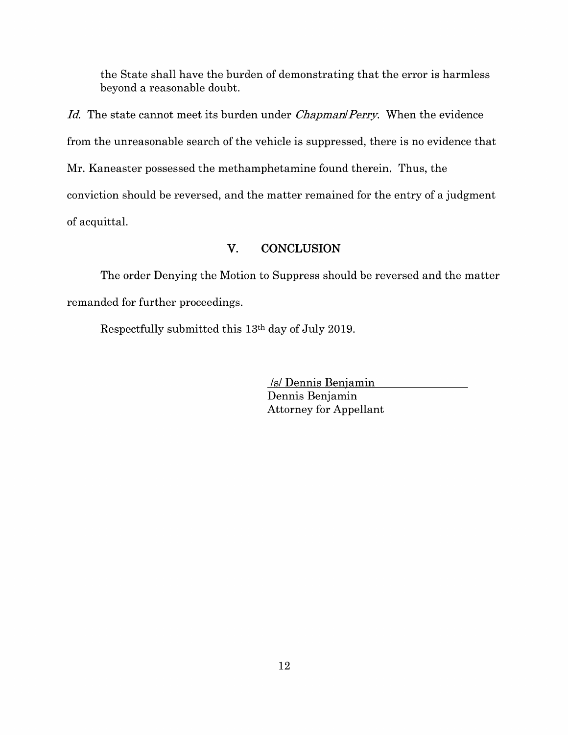the State shall have the burden of demonstrating that the error is harmless beyond a reasonable doubt.

*Id.* The state cannot meet its burden under *Chapman/Perry.* When the evidence from the unreasonable search of the vehicle is suppressed, there is no evidence that Mr. Kaneaster possessed the methamphetamine found therein. Thus, the conviction should be reversed, and the matter remained for the entry of a judgment of acquittal.

## **V. CONCLUSION**

The order Denying the Motion to Suppress should be reversed and the matter remanded for further proceedings.

Respectfully submitted this 13th day of July 2019.

Is/ Dennis Benjamin Dennis Benjamin Attorney for Appellant